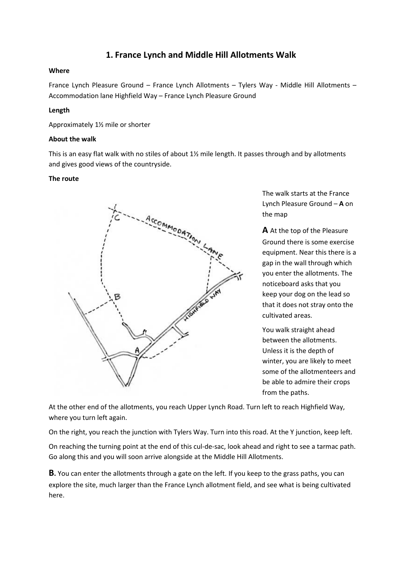# **1. France Lynch and Middle Hill Allotments Walk**

## **Where**

France Lynch Pleasure Ground – France Lynch Allotments – Tylers Way - Middle Hill Allotments – Accommodation lane Highfield Way – France Lynch Pleasure Ground

# **Length**

Approximately 1½ mile or shorter

### **About the walk**

This is an easy flat walk with no stiles of about 1½ mile length. It passes through and by allotments and gives good views of the countryside.

#### **The route**



The walk starts at the France Lynch Pleasure Ground – **A** on the map

**A** At the top of the Pleasure Ground there is some exercise equipment. Near this there is a gap in the wall through which you enter the allotments. The noticeboard asks that you keep your dog on the lead so that it does not stray onto the cultivated areas.

You walk straight ahead between the allotments. Unless it is the depth of winter, you are likely to meet some of the allotmenteers and be able to admire their crops from the paths.

At the other end of the allotments, you reach Upper Lynch Road. Turn left to reach Highfield Way, where you turn left again.

On the right, you reach the junction with Tylers Way. Turn into this road. At the Y junction, keep left.

On reaching the turning point at the end of this cul-de-sac, look ahead and right to see a tarmac path. Go along this and you will soon arrive alongside at the Middle Hill Allotments.

**B.** You can enter the allotments through a gate on the left. If you keep to the grass paths, you can explore the site, much larger than the France Lynch allotment field, and see what is being cultivated here.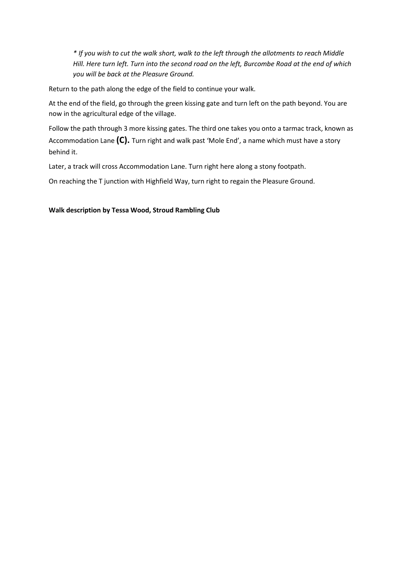*\* If you wish to cut the walk short, walk to the left through the allotments to reach Middle Hill. Here turn left. Turn into the second road on the left, Burcombe Road at the end of which you will be back at the Pleasure Ground.*

Return to the path along the edge of the field to continue your walk.

At the end of the field, go through the green kissing gate and turn left on the path beyond. You are now in the agricultural edge of the village.

Follow the path through 3 more kissing gates. The third one takes you onto a tarmac track, known as Accommodation Lane **(C).** Turn right and walk past 'Mole End', a name which must have a story behind it.

Later, a track will cross Accommodation Lane. Turn right here along a stony footpath.

On reaching the T junction with Highfield Way, turn right to regain the Pleasure Ground.

## **Walk description by Tessa Wood, Stroud Rambling Club**